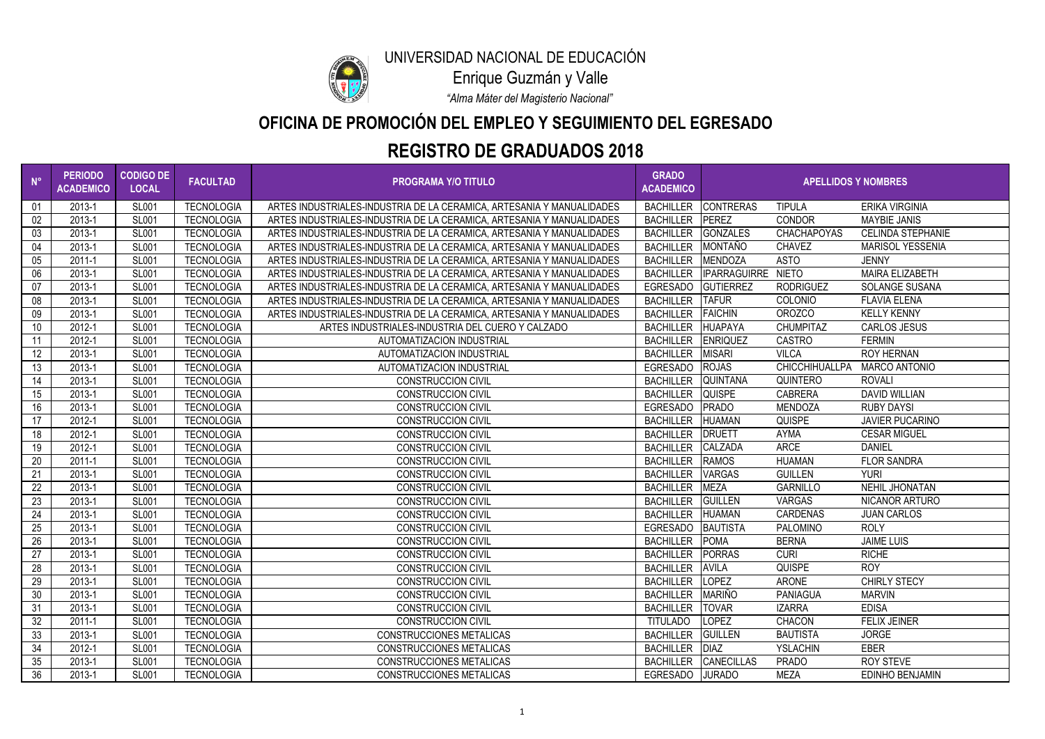| $N^{\circ}$ | <b>PERIODO</b><br><b>ACADEMICO</b> | <b>CODIGO DE</b><br><b>LOCAL</b> | <b>FACULTAD</b>   | <b>PROGRAMA Y/O TITULO</b>                                            | <b>GRADO</b><br><b>ACADEMICO</b> | <b>APELLIDOS Y NOMBRES</b> |                       |                          |
|-------------|------------------------------------|----------------------------------|-------------------|-----------------------------------------------------------------------|----------------------------------|----------------------------|-----------------------|--------------------------|
| 01          | 2013-1                             | <b>SL001</b>                     | <b>TECNOLOGIA</b> | ARTES INDUSTRIALES-INDUSTRIA DE LA CERAMICA, ARTESANIA Y MANUALIDADES | <b>BACHILLER</b>                 | <b>CONTRERAS</b>           | <b>TIPULA</b>         | <b>ERIKA VIRGINIA</b>    |
| 02          | 2013-1                             | <b>SL001</b>                     | <b>TECNOLOGIA</b> | ARTES INDUSTRIALES-INDUSTRIA DE LA CERAMICA, ARTESANIA Y MANUALIDADES | <b>BACHILLER</b>                 | PEREZ                      | <b>CONDOR</b>         | <b>MAYBIE JANIS</b>      |
| 03          | 2013-1                             | <b>SL001</b>                     | <b>TECNOLOGIA</b> | ARTES INDUSTRIALES-INDUSTRIA DE LA CERAMICA, ARTESANIA Y MANUALIDADES | <b>BACHILLER</b>                 | <b>GONZALES</b>            | <b>CHACHAPOYAS</b>    | <b>CELINDA STEPHANIE</b> |
| 04          | 2013-1                             | <b>SL001</b>                     | <b>TECNOLOGIA</b> | ARTES INDUSTRIALES-INDUSTRIA DE LA CERAMICA, ARTESANIA Y MANUALIDADES | <b>BACHILLER</b>                 | MONTAÑO                    | <b>CHAVEZ</b>         | <b>MARISOL YESSENIA</b>  |
| $05\,$      | $2011 - 1$                         | <b>SL001</b>                     | <b>TECNOLOGIA</b> | ARTES INDUSTRIALES-INDUSTRIA DE LA CERAMICA, ARTESANIA Y MANUALIDADES | <b>BACHILLER</b>                 | MENDOZA                    | <b>ASTO</b>           | <b>JENNY</b>             |
| 06          | 2013-1                             | <b>SL001</b>                     | <b>TECNOLOGIA</b> | ARTES INDUSTRIALES-INDUSTRIA DE LA CERAMICA, ARTESANIA Y MANUALIDADES | <b>BACHILLER</b>                 | IPARRAGUIRRE NIETO         |                       | <b>MAIRA ELIZABETH</b>   |
| 07          | 2013-1                             | <b>SL001</b>                     | <b>TECNOLOGIA</b> | ARTES INDUSTRIALES-INDUSTRIA DE LA CERAMICA, ARTESANIA Y MANUALIDADES | EGRESADO                         | GUTIERREZ                  | <b>RODRIGUEZ</b>      | <b>SOLANGE SUSANA</b>    |
| 08          | 2013-1                             | <b>SL001</b>                     | <b>TECNOLOGIA</b> | ARTES INDUSTRIALES-INDUSTRIA DE LA CERAMICA, ARTESANIA Y MANUALIDADES | <b>BACHILLER</b>                 | <b>TAFUR</b>               | <b>COLONIO</b>        | <b>FLAVIA ELENA</b>      |
| 09          | 2013-1                             | <b>SL001</b>                     | <b>TECNOLOGIA</b> | ARTES INDUSTRIALES-INDUSTRIA DE LA CERAMICA, ARTESANIA Y MANUALIDADES | <b>BACHILLER</b>                 | <b>FAICHIN</b>             | <b>OROZCO</b>         | <b>KELLY KENNY</b>       |
| 10          | 2012-1                             | <b>SL001</b>                     | <b>TECNOLOGIA</b> | ARTES INDUSTRIALES-INDUSTRIA DEL CUERO Y CALZADO                      | <b>BACHILLER</b>                 | <b>HUAPAYA</b>             | <b>CHUMPITAZ</b>      | <b>CARLOS JESUS</b>      |
| 11          | 2012-1                             | <b>SL001</b>                     | <b>TECNOLOGIA</b> | AUTOMATIZACION INDUSTRIAL                                             | <b>BACHILLER</b>                 | <b>ENRIQUEZ</b>            | <b>CASTRO</b>         | <b>FERMIN</b>            |
| 12          | 2013-1                             | <b>SL001</b>                     | <b>TECNOLOGIA</b> | AUTOMATIZACION INDUSTRIAL                                             | <b>BACHILLER</b>                 | <b>MISARI</b>              | <b>VILCA</b>          | <b>ROY HERNAN</b>        |
| 13          | 2013-1                             | <b>SL001</b>                     | <b>TECNOLOGIA</b> | AUTOMATIZACION INDUSTRIAL                                             | <b>EGRESADO</b>                  | <b>ROJAS</b>               | <b>CHICCHIHUALLPA</b> | <b>MARCO ANTONIO</b>     |
| 14          | 2013-1                             | <b>SL001</b>                     | <b>TECNOLOGIA</b> | <b>CONSTRUCCION CIVIL</b>                                             | <b>BACHILLER</b>                 | <b>QUINTANA</b>            | QUINTERO              | <b>ROVALI</b>            |
| 15          | 2013-1                             | <b>SL001</b>                     | <b>TECNOLOGIA</b> | <b>CONSTRUCCION CIVIL</b>                                             | <b>BACHILLER</b>                 | <b>QUISPE</b>              | <b>CABRERA</b>        | <b>DAVID WILLIAN</b>     |
| 16          | 2013-1                             | <b>SL001</b>                     | <b>TECNOLOGIA</b> | <b>CONSTRUCCION CIVIL</b>                                             | EGRESADO                         | PRADO                      | <b>MENDOZA</b>        | <b>RUBY DAYSI</b>        |
| 17          | 2012-1                             | <b>SL001</b>                     | <b>TECNOLOGIA</b> | <b>CONSTRUCCION CIVIL</b>                                             | <b>BACHILLER</b>                 | <b>HUAMAN</b>              | <b>QUISPE</b>         | <b>JAVIER PUCARINO</b>   |
| 18          | 2012-1                             | <b>SL001</b>                     | <b>TECNOLOGIA</b> | <b>CONSTRUCCION CIVIL</b>                                             | <b>BACHILLER</b>                 | <b>DRUETT</b>              | <b>AYMA</b>           | <b>CESAR MIGUEL</b>      |
| 19          | 2012-1                             | <b>SL001</b>                     | <b>TECNOLOGIA</b> | <b>CONSTRUCCION CIVIL</b>                                             | <b>BACHILLER</b>                 | <b>CALZADA</b>             | <b>ARCE</b>           | <b>DANIEL</b>            |
| 20          | 2011-1                             | <b>SL001</b>                     | <b>TECNOLOGIA</b> | <b>CONSTRUCCION CIVIL</b>                                             | <b>BACHILLER</b>                 | <b>RAMOS</b>               | <b>HUAMAN</b>         | <b>FLOR SANDRA</b>       |
| 21          | 2013-1                             | <b>SL001</b>                     | <b>TECNOLOGIA</b> | <b>CONSTRUCCION CIVIL</b>                                             | <b>BACHILLER</b>                 | <b>VARGAS</b>              | <b>GUILLEN</b>        | <b>YURI</b>              |
| 22          | 2013-1                             | <b>SL001</b>                     | <b>TECNOLOGIA</b> | <b>CONSTRUCCION CIVIL</b>                                             | <b>BACHILLER</b>                 | <b>MEZA</b>                | <b>GARNILLO</b>       | NEHIL JHONATAN           |
| 23          | 2013-1                             | <b>SL001</b>                     | <b>TECNOLOGIA</b> | <b>CONSTRUCCION CIVIL</b>                                             | <b>BACHILLER</b>                 | <b>GUILLEN</b>             | <b>VARGAS</b>         | NICANOR ARTURO           |
| 24          | 2013-1                             | <b>SL001</b>                     | <b>TECNOLOGIA</b> | <b>CONSTRUCCION CIVIL</b>                                             | <b>BACHILLER</b>                 | <b>HUAMAN</b>              | <b>CARDENAS</b>       | <b>JUAN CARLOS</b>       |
| 25          | 2013-1                             | <b>SL001</b>                     | <b>TECNOLOGIA</b> | <b>CONSTRUCCION CIVIL</b>                                             | EGRESADO                         | <b>BAUTISTA</b>            | <b>PALOMINO</b>       | <b>ROLY</b>              |
| 26          | 2013-1                             | <b>SL001</b>                     | <b>TECNOLOGIA</b> | <b>CONSTRUCCION CIVIL</b>                                             | <b>BACHILLER</b>                 | <b>POMA</b>                | <b>BERNA</b>          | <b>JAIME LUIS</b>        |
| 27          | 2013-1                             | <b>SL001</b>                     | <b>TECNOLOGIA</b> | <b>CONSTRUCCION CIVIL</b>                                             | BACHILLER PORRAS                 |                            | <b>CURI</b>           | <b>RICHE</b>             |
| 28          | 2013-1                             | <b>SL001</b>                     | <b>TECNOLOGIA</b> | <b>CONSTRUCCION CIVIL</b>                                             | BACHILLER AVILA                  |                            | <b>QUISPE</b>         | <b>ROY</b>               |
| 29          | 2013-1                             | <b>SL001</b>                     | <b>TECNOLOGIA</b> | <b>CONSTRUCCION CIVIL</b>                                             | BACHILLER LOPEZ                  |                            | ARONE                 | <b>CHIRLY STECY</b>      |
| 30          | 2013-1                             | <b>SL001</b>                     | <b>TECNOLOGIA</b> | <b>CONSTRUCCION CIVIL</b>                                             | <b>BACHILLER</b>                 | <b>MARIÑO</b>              | <b>PANIAGUA</b>       | <b>MARVIN</b>            |
| 31          | 2013-1                             | <b>SL001</b>                     | TECNOLOGIA        | <b>CONSTRUCCION CIVIL</b>                                             | <b>BACHILLER</b>                 | <b>TOVAR</b>               | <b>IZARRA</b>         | <b>EDISA</b>             |
| 32          | 2011-1                             | <b>SL001</b>                     | <b>TECNOLOGIA</b> | <b>CONSTRUCCION CIVIL</b>                                             | <b>TITULADO</b>                  | <b>LOPEZ</b>               | <b>CHACON</b>         | <b>FELIX JEINER</b>      |
| 33          | 2013-1                             | <b>SL001</b>                     | <b>TECNOLOGIA</b> | <b>CONSTRUCCIONES METALICAS</b>                                       | <b>BACHILLER</b>                 | <b>GUILLEN</b>             | <b>BAUTISTA</b>       | <b>JORGE</b>             |
| 34          | 2012-1                             | <b>SL001</b>                     | <b>TECNOLOGIA</b> | <b>CONSTRUCCIONES METALICAS</b>                                       | <b>BACHILLER</b>                 | <b>DIAZ</b>                | <b>YSLACHIN</b>       | <b>EBER</b>              |
| 35          | 2013-1                             | <b>SL001</b>                     | <b>TECNOLOGIA</b> | <b>CONSTRUCCIONES METALICAS</b>                                       |                                  | BACHILLER CANECILLAS       | <b>PRADO</b>          | <b>ROY STEVE</b>         |
| 36          | 2013-1                             | <b>SL001</b>                     | <b>TECNOLOGIA</b> | <b>CONSTRUCCIONES METALICAS</b>                                       | EGRESADO                         | <b>JURADO</b>              | <b>MEZA</b>           | <b>EDINHO BENJAMIN</b>   |



# **OFICINA DE PROMOCIÓN DEL EMPLEO Y SEGUIMIENTO DEL EGRESADO**

*"Alma Máter del Magisterio Nacional"*

Enrique Guzmán y Valle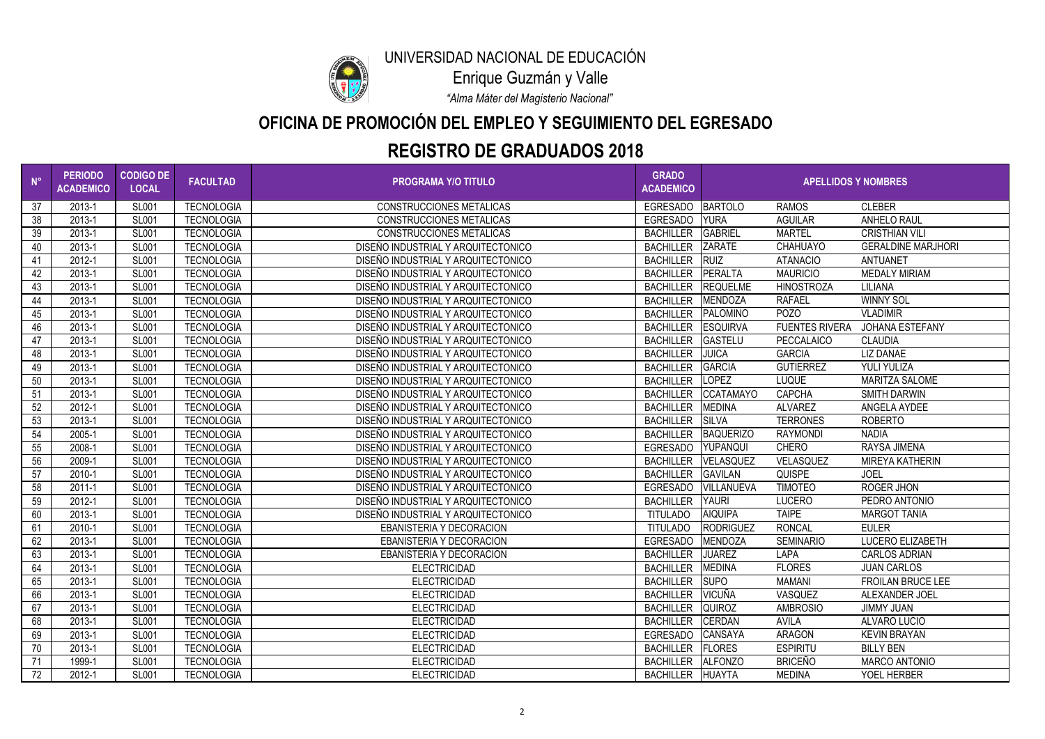

## **OFICINA DE PROMOCIÓN DEL EMPLEO Y SEGUIMIENTO DEL EGRESADO**

*"Alma Máter del Magisterio Nacional"*

Enrique Guzmán y Valle

| $N^{\circ}$ | <b>PERIODO</b><br><b>ACADEMICO</b> | <b>CODIGO DE</b><br><b>LOCAL</b> | <b>FACULTAD</b>   | <b>PROGRAMA Y/O TITULO</b>         | <b>GRADO</b><br><b>ACADEMICO</b> | <b>APELLIDOS Y NOMBRES</b> |                       |                           |
|-------------|------------------------------------|----------------------------------|-------------------|------------------------------------|----------------------------------|----------------------------|-----------------------|---------------------------|
| 37          | 2013-1                             | <b>SL001</b>                     | <b>TECNOLOGIA</b> | <b>CONSTRUCCIONES METALICAS</b>    | <b>EGRESADO</b>                  | <b>BARTOLO</b>             | <b>RAMOS</b>          | <b>CLEBER</b>             |
| 38          | 2013-1                             | <b>SL001</b>                     | <b>TECNOLOGIA</b> | <b>CONSTRUCCIONES METALICAS</b>    | <b>EGRESADO</b>                  | <b>YURA</b>                | <b>AGUILAR</b>        | <b>ANHELO RAUL</b>        |
| 39          | 2013-1                             | <b>SL001</b>                     | <b>TECNOLOGIA</b> | <b>CONSTRUCCIONES METALICAS</b>    | <b>BACHILLER</b>                 | <b>GABRIEL</b>             | <b>MARTEL</b>         | <b>CRISTHIAN VILI</b>     |
| 40          | 2013-1                             | <b>SL001</b>                     | <b>TECNOLOGIA</b> | DISEÑO INDUSTRIAL Y ARQUITECTONICO | <b>BACHILLER</b>                 | <b>ZARATE</b>              | <b>CHAHUAYO</b>       | <b>GERALDINE MARJHORI</b> |
| 41          | 2012-1                             | <b>SL001</b>                     | <b>TECNOLOGIA</b> | DISEÑO INDUSTRIAL Y ARQUITECTONICO | <b>BACHILLER</b>                 | <b>RUIZ</b>                | <b>ATANACIO</b>       | ANTUANET                  |
| 42          | 2013-1                             | <b>SL001</b>                     | <b>TECNOLOGIA</b> | DISEÑO INDUSTRIAL Y ARQUITECTONICO | <b>BACHILLER</b>                 | PERALTA                    | <b>MAURICIO</b>       | <b>MEDALY MIRIAM</b>      |
| 43          | 2013-1                             | <b>SL001</b>                     | <b>TECNOLOGIA</b> | DISEÑO INDUSTRIAL Y ARQUITECTONICO | <b>BACHILLER</b>                 | <b>REQUELME</b>            | <b>HINOSTROZA</b>     | <b>LILIANA</b>            |
| 44          | 2013-1                             | <b>SL001</b>                     | <b>TECNOLOGIA</b> | DISEÑO INDUSTRIAL Y ARQUITECTONICO | <b>BACHILLER</b>                 | MENDOZA                    | <b>RAFAEL</b>         | <b>WINNY SOL</b>          |
| 45          | 2013-1                             | <b>SL001</b>                     | <b>TECNOLOGIA</b> | DISEÑO INDUSTRIAL Y ARQUITECTONICO | <b>BACHILLER</b>                 | <b>PALOMINO</b>            | <b>POZO</b>           | <b>VLADIMIR</b>           |
| 46          | 2013-1                             | <b>SL001</b>                     | <b>TECNOLOGIA</b> | DISEÑO INDUSTRIAL Y ARQUITECTONICO | <b>BACHILLER</b>                 | <b>ESQUIRVA</b>            | <b>FUENTES RIVERA</b> | <b>JOHANA ESTEFANY</b>    |
| 47          | 2013-1                             | <b>SL001</b>                     | <b>TECNOLOGIA</b> | DISEÑO INDUSTRIAL Y ARQUITECTONICO | <b>BACHILLER</b>                 | <b>GASTELU</b>             | PECCALAICO            | <b>CLAUDIA</b>            |
| 48          | 2013-1                             | <b>SL001</b>                     | <b>TECNOLOGIA</b> | DISEÑO INDUSTRIAL Y ARQUITECTONICO | <b>BACHILLER</b>                 | <b>JUICA</b>               | <b>GARCIA</b>         | LIZ DANAE                 |
| 49          | 2013-1                             | <b>SL001</b>                     | <b>TECNOLOGIA</b> | DISEÑO INDUSTRIAL Y ARQUITECTONICO | <b>BACHILLER</b>                 | <b>GARCIA</b>              | <b>GUTIERREZ</b>      | <b>YULI YULIZA</b>        |
| 50          | 2013-1                             | <b>SL001</b>                     | <b>TECNOLOGIA</b> | DISEÑO INDUSTRIAL Y ARQUITECTONICO | <b>BACHILLER</b>                 | <b>LOPEZ</b>               | <b>LUQUE</b>          | <b>MARITZA SALOME</b>     |
| 51          | 2013-1                             | <b>SL001</b>                     | <b>TECNOLOGIA</b> | DISEÑO INDUSTRIAL Y ARQUITECTONICO | <b>BACHILLER</b>                 | <b>CCATAMAYO</b>           | <b>CAPCHA</b>         | <b>SMITH DARWIN</b>       |
| 52          | 2012-1                             | <b>SL001</b>                     | <b>TECNOLOGIA</b> | DISEÑO INDUSTRIAL Y ARQUITECTONICO | <b>BACHILLER</b>                 | <b>MEDINA</b>              | <b>ALVAREZ</b>        | ANGELA AYDEE              |
| 53          | 2013-1                             | <b>SL001</b>                     | <b>TECNOLOGIA</b> | DISEÑO INDUSTRIAL Y ARQUITECTONICO | <b>BACHILLER</b>                 | <b>SILVA</b>               | <b>TERRONES</b>       | <b>ROBERTO</b>            |
| 54          | 2005-1                             | <b>SL001</b>                     | <b>TECNOLOGIA</b> | DISEÑO INDUSTRIAL Y ARQUITECTONICO | <b>BACHILLER</b>                 | <b>BAQUERIZO</b>           | <b>RAYMONDI</b>       | <b>NADIA</b>              |
| 55          | 2008-1                             | <b>SL001</b>                     | <b>TECNOLOGIA</b> | DISEÑO INDUSTRIAL Y ARQUITECTONICO | <b>EGRESADO</b>                  | YUPANQUI                   | <b>CHERO</b>          | <b>RAYSA JIMENA</b>       |
| 56          | 2009-1                             | <b>SL001</b>                     | <b>TECNOLOGIA</b> | DISEÑO INDUSTRIAL Y ARQUITECTONICO | <b>BACHILLER</b>                 | VELASQUEZ                  | VELASQUEZ             | <b>MIREYA KATHERIN</b>    |
| 57          | 2010-1                             | <b>SL001</b>                     | <b>TECNOLOGIA</b> | DISEÑO INDUSTRIAL Y ARQUITECTONICO | <b>BACHILLER</b>                 | <b>GAVILAN</b>             | <b>QUISPE</b>         | <b>JOEL</b>               |
| 58          | 2011-1                             | <b>SL001</b>                     | <b>TECNOLOGIA</b> | DISEÑO INDUSTRIAL Y ARQUITECTONICO | <b>EGRESADO</b>                  | VILLANUEVA                 | <b>TIMOTEO</b>        | <b>ROGER JHON</b>         |
| 59          | 2012-1                             | <b>SL001</b>                     | <b>TECNOLOGIA</b> | DISEÑO INDUSTRIAL Y ARQUITECTONICO | <b>BACHILLER</b>                 | <b>YAURI</b>               | <b>LUCERO</b>         | PEDRO ANTONIO             |
| 60          | 2013-1                             | <b>SL001</b>                     | <b>TECNOLOGIA</b> | DISEÑO INDUSTRIAL Y ARQUITECTONICO | <b>TITULADO</b>                  | <b>AIQUIPA</b>             | <b>TAIPE</b>          | <b>MARGOT TANIA</b>       |
| 61          | 2010-1                             | <b>SL001</b>                     | <b>TECNOLOGIA</b> | <b>EBANISTERIA Y DECORACION</b>    | <b>TITULADO</b>                  | <b>RODRIGUEZ</b>           | <b>RONCAL</b>         | <b>EULER</b>              |
| 62          | 2013-1                             | <b>SL001</b>                     | <b>TECNOLOGIA</b> | <b>EBANISTERIA Y DECORACION</b>    | <b>EGRESADO</b>                  | <b>MENDOZA</b>             | <b>SEMINARIO</b>      | LUCERO ELIZABETH          |
| 63          | 2013-1                             | <b>SL001</b>                     | <b>TECNOLOGIA</b> | <b>EBANISTERIA Y DECORACION</b>    | BACHILLER <b>JUAREZ</b>          |                            | <b>LAPA</b>           | <b>CARLOS ADRIAN</b>      |
| 64          | 2013-1                             | <b>SL001</b>                     | <b>TECNOLOGIA</b> | <b>ELECTRICIDAD</b>                | BACHILLER   MEDINA               |                            | <b>FLORES</b>         | <b>JUAN CARLOS</b>        |
| 65          | 2013-1                             | <b>SL001</b>                     | TECNOLOGIA        | <b>ELECTRICIDAD</b>                | BACHILLER SUPO                   |                            | <b>MAMANI</b>         | <b>FROILAN BRUCE LEE</b>  |
| 66          | 2013-1                             | <b>SL001</b>                     | <b>TECNOLOGIA</b> | <b>ELECTRICIDAD</b>                | <b>BACHILLER</b>                 | <b>VICUÑA</b>              | VASQUEZ               | ALEXANDER JOEL            |
| 67          | 2013-1                             | <b>SL001</b>                     | <b>TECNOLOGIA</b> | <b>ELECTRICIDAD</b>                | <b>BACHILLER</b>                 | <b>QUIROZ</b>              | <b>AMBROSIO</b>       | <b>JIMMY JUAN</b>         |
| 68          | 2013-1                             | <b>SL001</b>                     | <b>TECNOLOGIA</b> | <b>ELECTRICIDAD</b>                | <b>BACHILLER</b>                 | <b>CERDAN</b>              | <b>AVILA</b>          | ALVARO LUCIO              |
| 69          | 2013-1                             | <b>SL001</b>                     | <b>TECNOLOGIA</b> | <b>ELECTRICIDAD</b>                | EGRESADO                         | <b>CANSAYA</b>             | <b>ARAGON</b>         | <b>KEVIN BRAYAN</b>       |
| 70          | 2013-1                             | <b>SL001</b>                     | <b>TECNOLOGIA</b> | <b>ELECTRICIDAD</b>                | BACHILLER   FLORES               |                            | <b>ESPIRITU</b>       | <b>BILLY BEN</b>          |
| 71          | 1999-1                             | <b>SL001</b>                     | <b>TECNOLOGIA</b> | <b>ELECTRICIDAD</b>                | BACHILLER ALFONZO                |                            | <b>BRICEÑO</b>        | <b>MARCO ANTONIO</b>      |
| 72          | 2012-1                             | <b>SL001</b>                     | TECNOLOGIA        | <b>ELECTRICIDAD</b>                | BACHILLER HUAYTA                 |                            | MEDINA                | YOEL HERBER               |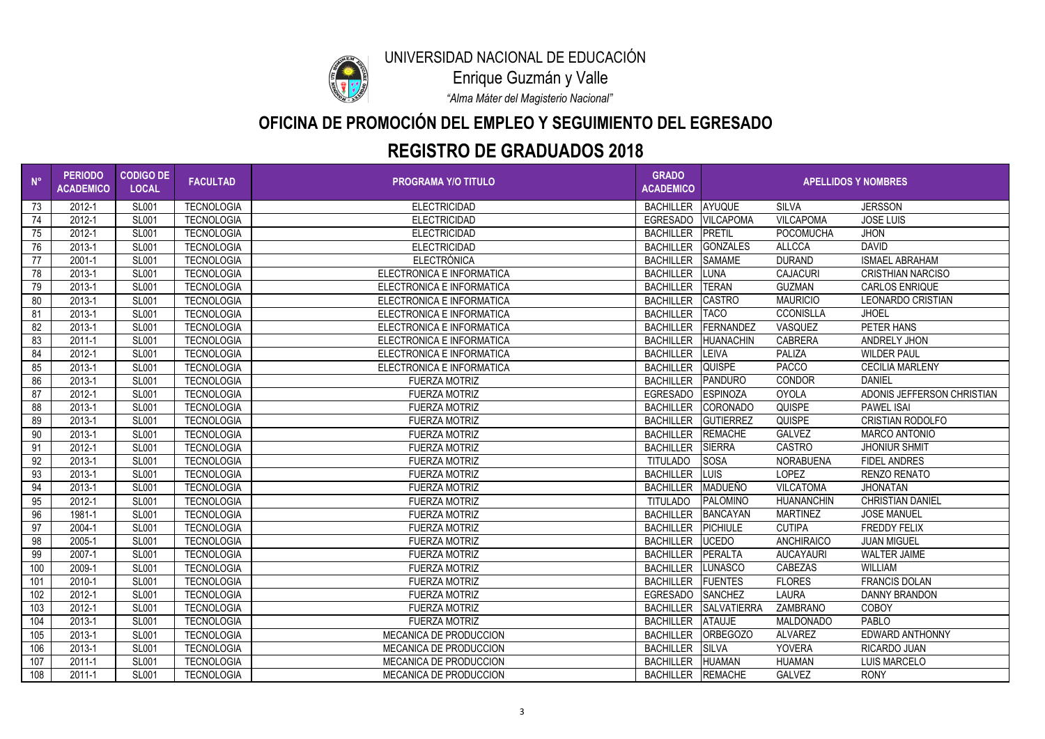

## **OFICINA DE PROMOCIÓN DEL EMPLEO Y SEGUIMIENTO DEL EGRESADO**

*"Alma Máter del Magisterio Nacional"*

Enrique Guzmán y Valle

| $\blacksquare$ N° | <b>PERIODO</b><br><b>ACADEMICO</b> | <b>CODIGO DE</b><br><b>LOCAL</b> | <b>FACULTAD</b>   | <b>PROGRAMA Y/O TITULO</b>    | <b>GRADO</b><br><b>ACADEMICO</b> | <b>APELLIDOS Y NOMBRES</b> |                   |                            |  |
|-------------------|------------------------------------|----------------------------------|-------------------|-------------------------------|----------------------------------|----------------------------|-------------------|----------------------------|--|
| 73                | 2012-1                             | <b>SL001</b>                     | <b>TECNOLOGIA</b> | <b>ELECTRICIDAD</b>           | <b>BACHILLER</b>                 | <b>AYUQUE</b>              | <b>SILVA</b>      | <b>JERSSON</b>             |  |
| 74                | 2012-1                             | <b>SL001</b>                     | <b>TECNOLOGIA</b> | <b>ELECTRICIDAD</b>           | <b>EGRESADO</b>                  | <b>VILCAPOMA</b>           | <b>VILCAPOMA</b>  | <b>JOSE LUIS</b>           |  |
| 75                | 2012-1                             | <b>SL001</b>                     | <b>TECNOLOGIA</b> | <b>ELECTRICIDAD</b>           | <b>BACHILLER</b>                 | PRETIL                     | <b>POCOMUCHA</b>  | <b>JHON</b>                |  |
| 76                | 2013-1                             | <b>SL001</b>                     | <b>TECNOLOGIA</b> | <b>ELECTRICIDAD</b>           | <b>BACHILLER</b>                 | GONZALES                   | <b>ALLCCA</b>     | <b>DAVID</b>               |  |
| 77                | 2001-1                             | <b>SL001</b>                     | <b>TECNOLOGIA</b> | <b>ELECTRÓNICA</b>            | BACHILLER SAMAME                 |                            | <b>DURAND</b>     | <b>ISMAEL ABRAHAM</b>      |  |
| 78                | 2013-1                             | <b>SL001</b>                     | <b>TECNOLOGIA</b> | ELECTRONICA E INFORMATICA     | <b>BACHILLER</b>                 | <b>LUNA</b>                | <b>CAJACURI</b>   | <b>CRISTHIAN NARCISO</b>   |  |
| 79                | 2013-1                             | <b>SL001</b>                     | <b>TECNOLOGIA</b> | ELECTRONICA E INFORMATICA     | <b>BACHILLER</b>                 | <b>TERAN</b>               | <b>GUZMAN</b>     | <b>CARLOS ENRIQUE</b>      |  |
| 80                | 2013-1                             | <b>SL001</b>                     | <b>TECNOLOGIA</b> | ELECTRONICA E INFORMATICA     | <b>BACHILLER</b>                 | <b>CASTRO</b>              | <b>MAURICIO</b>   | LEONARDO CRISTIAN          |  |
| 81                | 2013-1                             | <b>SL001</b>                     | <b>TECNOLOGIA</b> | ELECTRONICA E INFORMATICA     | <b>BACHILLER</b>                 | <b>TACO</b>                | <b>CCONISLLA</b>  | <b>JHOEL</b>               |  |
| 82                | 2013-1                             | <b>SL001</b>                     | <b>TECNOLOGIA</b> | ELECTRONICA E INFORMATICA     | <b>BACHILLER</b>                 | FERNANDEZ                  | VASQUEZ           | PETER HANS                 |  |
| 83                | $2011 - 1$                         | <b>SL001</b>                     | <b>TECNOLOGIA</b> | ELECTRONICA E INFORMATICA     | <b>BACHILLER</b>                 | HUANACHIN                  | <b>CABRERA</b>    | ANDRELY JHON               |  |
| 84                | 2012-1                             | <b>SL001</b>                     | <b>TECNOLOGIA</b> | ELECTRONICA E INFORMATICA     | <b>BACHILLER</b>                 | <b>LEIVA</b>               | PALIZA            | <b>WILDER PAUL</b>         |  |
| 85                | 2013-1                             | <b>SL001</b>                     | <b>TECNOLOGIA</b> | ELECTRONICA E INFORMATICA     | <b>BACHILLER</b>                 | <b>QUISPE</b>              | <b>PACCO</b>      | <b>CECILIA MARLENY</b>     |  |
| 86                | 2013-1                             | <b>SL001</b>                     | <b>TECNOLOGIA</b> | <b>FUERZA MOTRIZ</b>          | BACHILLER PANDURO                |                            | CONDOR            | <b>DANIEL</b>              |  |
| 87                | 2012-1                             | <b>SL001</b>                     | <b>TECNOLOGIA</b> | <b>FUERZA MOTRIZ</b>          | <b>EGRESADO</b>                  | <b>ESPINOZA</b>            | <b>OYOLA</b>      | ADONIS JEFFERSON CHRISTIAN |  |
| 88                | 2013-1                             | <b>SL001</b>                     | <b>TECNOLOGIA</b> | <b>FUERZA MOTRIZ</b>          | <b>BACHILLER</b>                 | CORONADO                   | <b>QUISPE</b>     | <b>PAWEL ISAI</b>          |  |
| 89                | 2013-1                             | <b>SL001</b>                     | <b>TECNOLOGIA</b> | <b>FUERZA MOTRIZ</b>          | <b>BACHILLER</b>                 | <b>GUTIERREZ</b>           | <b>QUISPE</b>     | <b>CRISTIAN RODOLFO</b>    |  |
| 90                | 2013-1                             | <b>SL001</b>                     | <b>TECNOLOGIA</b> | <b>FUERZA MOTRIZ</b>          | <b>BACHILLER</b>                 | <b>REMACHE</b>             | <b>GALVEZ</b>     | <b>MARCO ANTONIO</b>       |  |
| 91                | 2012-1                             | <b>SL001</b>                     | <b>TECNOLOGIA</b> | <b>FUERZA MOTRIZ</b>          | <b>BACHILLER</b>                 | <b>SIERRA</b>              | <b>CASTRO</b>     | <b>JHONIUR SHMIT</b>       |  |
| 92                | 2013-1                             | <b>SL001</b>                     | <b>TECNOLOGIA</b> | <b>FUERZA MOTRIZ</b>          | <b>TITULADO</b>                  | <b>SOSA</b>                | <b>NORABUENA</b>  | <b>FIDEL ANDRES</b>        |  |
| 93                | 2013-1                             | <b>SL001</b>                     | <b>TECNOLOGIA</b> | <b>FUERZA MOTRIZ</b>          | <b>BACHILLER</b>                 | LUIS                       | <b>LOPEZ</b>      | <b>RENZO RENATO</b>        |  |
| 94                | 2013-1                             | <b>SL001</b>                     | <b>TECNOLOGIA</b> | <b>FUERZA MOTRIZ</b>          | <b>BACHILLER</b>                 | MADUEÑO                    | <b>VILCATOMA</b>  | <b>JHONATAN</b>            |  |
| 95                | 2012-1                             | <b>SL001</b>                     | <b>TECNOLOGIA</b> | <b>FUERZA MOTRIZ</b>          | <b>TITULADO</b>                  | PALOMINO                   | <b>HUANANCHIN</b> | <b>CHRISTIAN DANIEL</b>    |  |
| 96                | 1981-1                             | <b>SL001</b>                     | <b>TECNOLOGIA</b> | <b>FUERZA MOTRIZ</b>          | <b>BACHILLER</b>                 | <b>BANCAYAN</b>            | <b>MARTINEZ</b>   | <b>JOSE MANUEL</b>         |  |
| 97                | 2004-1                             | <b>SL001</b>                     | <b>TECNOLOGIA</b> | <b>FUERZA MOTRIZ</b>          | <b>BACHILLER</b>                 | <b>PICHIULE</b>            | <b>CUTIPA</b>     | <b>FREDDY FELIX</b>        |  |
| 98                | 2005-1                             | <b>SL001</b>                     | <b>TECNOLOGIA</b> | <b>FUERZA MOTRIZ</b>          | <b>BACHILLER</b>                 | <b>UCEDO</b>               | <b>ANCHIRAICO</b> | <b>JUAN MIGUEL</b>         |  |
| 99                | 2007-1                             | <b>SL001</b>                     | <b>TECNOLOGIA</b> | <b>FUERZA MOTRIZ</b>          | BACHILLER   PERALTA              |                            | <b>AUCAYAURI</b>  | <b>WALTER JAIME</b>        |  |
| 100               | 2009-1                             | <b>SL001</b>                     | <b>TECNOLOGIA</b> | <b>FUERZA MOTRIZ</b>          | BACHILLER LUNASCO                |                            | <b>CABEZAS</b>    | <b>WILLIAM</b>             |  |
| 101               | 2010-1                             | <b>SL001</b>                     | <b>TECNOLOGIA</b> | <b>FUERZA MOTRIZ</b>          | BACHILLER   FUENTES              |                            | <b>FLORES</b>     | <b>FRANCIS DOLAN</b>       |  |
| 102               | 2012-1                             | <b>SL001</b>                     | <b>TECNOLOGIA</b> | <b>FUERZA MOTRIZ</b>          | EGRESADO                         | <b>SANCHEZ</b>             | <b>LAURA</b>      | <b>DANNY BRANDON</b>       |  |
| 103               | 2012-1                             | <b>SL001</b>                     | <b>TECNOLOGIA</b> | <b>FUERZA MOTRIZ</b>          |                                  | BACHILLER SALVATIERRA      | ZAMBRANO          | <b>COBOY</b>               |  |
| 104               | 2013-1                             | <b>SL001</b>                     | <b>TECNOLOGIA</b> | <b>FUERZA MOTRIZ</b>          | BACHILLER ATAUJE                 |                            | <b>MALDONADO</b>  | <b>PABLO</b>               |  |
| 105               | 2013-1                             | <b>SL001</b>                     | <b>TECNOLOGIA</b> | MECANICA DE PRODUCCION        | <b>BACHILLER</b>                 | ORBEGOZO                   | <b>ALVAREZ</b>    | <b>EDWARD ANTHONNY</b>     |  |
| 106               | 2013-1                             | <b>SL001</b>                     | <b>TECNOLOGIA</b> | MECANICA DE PRODUCCION        | BACHILLER SILVA                  |                            | <b>YOVERA</b>     | <b>RICARDO JUAN</b>        |  |
| 107               | 2011-1                             | <b>SL001</b>                     | <b>TECNOLOGIA</b> | <b>MECANICA DE PRODUCCION</b> | BACHILLER HUAMAN                 |                            | <b>HUAMAN</b>     | <b>LUIS MARCELO</b>        |  |
| 108               | 2011-1                             | <b>SL001</b>                     | <b>TECNOLOGIA</b> | MECANICA DE PRODUCCION        | BACHILLER REMACHE                |                            | GALVEZ            | <b>RONY</b>                |  |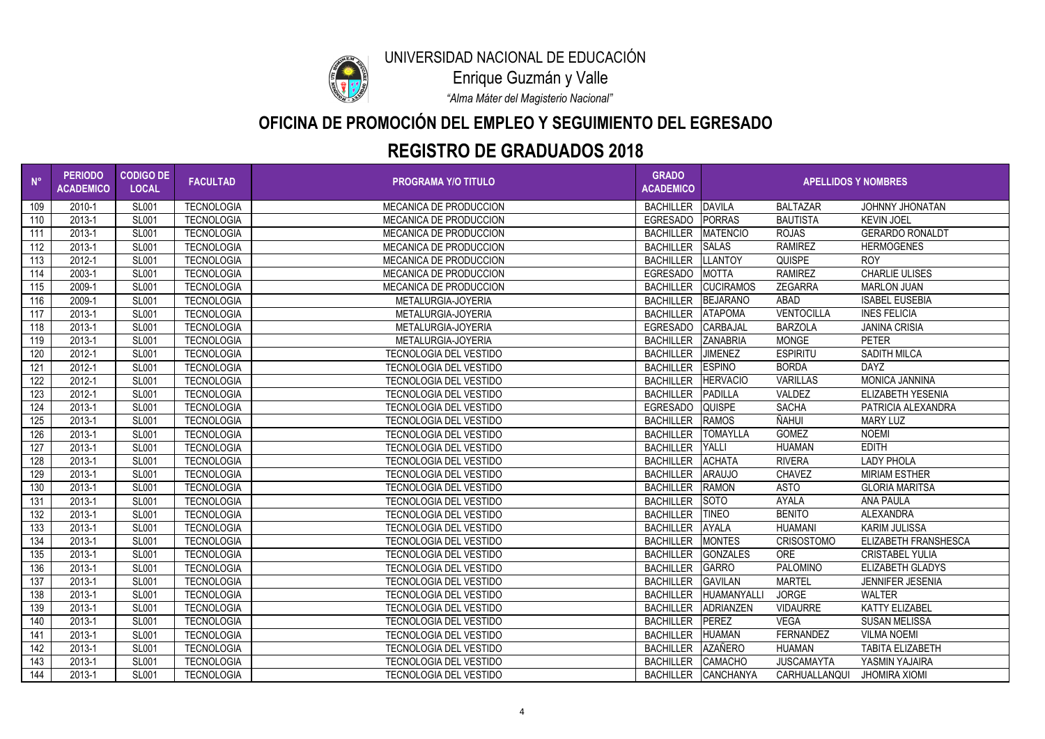

## **OFICINA DE PROMOCIÓN DEL EMPLEO Y SEGUIMIENTO DEL EGRESADO**

*"Alma Máter del Magisterio Nacional"*

Enrique Guzmán y Valle

| $N^{\circ}$ | <b>PERIODO</b><br><b>ACADEMICO</b> | <b>CODIGO DE</b><br><b>LOCAL</b> | <b>FACULTAD</b>   | <b>PROGRAMA Y/O TITULO</b>    | <b>GRADO</b><br><b>ACADEMICO</b> | <b>APELLIDOS Y NOMBRES</b> |                   |                          |
|-------------|------------------------------------|----------------------------------|-------------------|-------------------------------|----------------------------------|----------------------------|-------------------|--------------------------|
| 109         | 2010-1                             | <b>SL001</b>                     | <b>TECNOLOGIA</b> | <b>MECANICA DE PRODUCCION</b> | <b>BACHILLER</b>                 | <b>DAVILA</b>              | <b>BALTAZAR</b>   | JOHNNY JHONATAN          |
| 110         | 2013-1                             | <b>SL001</b>                     | <b>TECNOLOGIA</b> | <b>MECANICA DE PRODUCCION</b> | <b>EGRESADO</b>                  | <b>PORRAS</b>              | <b>BAUTISTA</b>   | <b>KEVIN JOEL</b>        |
| 111         | 2013-1                             | <b>SL001</b>                     | <b>TECNOLOGIA</b> | <b>MECANICA DE PRODUCCION</b> | <b>BACHILLER</b>                 | <b>MATENCIO</b>            | <b>ROJAS</b>      | <b>GERARDO RONALDT</b>   |
| 112         | 2013-1                             | <b>SL001</b>                     | <b>TECNOLOGIA</b> | <b>MECANICA DE PRODUCCION</b> | <b>BACHILLER</b>                 | <b>SALAS</b>               | <b>RAMIREZ</b>    | <b>HERMOGENES</b>        |
| 113         | 2012-1                             | <b>SL001</b>                     | <b>TECNOLOGIA</b> | <b>MECANICA DE PRODUCCION</b> | <b>BACHILLER</b>                 | <b>LLANTOY</b>             | <b>QUISPE</b>     | <b>ROY</b>               |
| 114         | 2003-1                             | <b>SL001</b>                     | <b>TECNOLOGIA</b> | <b>MECANICA DE PRODUCCION</b> | <b>EGRESADO</b>                  | <b>MOTTA</b>               | <b>RAMIREZ</b>    | <b>CHARLIE ULISES</b>    |
| 115         | 2009-1                             | <b>SL001</b>                     | <b>TECNOLOGIA</b> | <b>MECANICA DE PRODUCCION</b> | <b>BACHILLER</b>                 | <b>CUCIRAMOS</b>           | <b>ZEGARRA</b>    | <b>MARLON JUAN</b>       |
| 116         | 2009-1                             | <b>SL001</b>                     | <b>TECNOLOGIA</b> | METALURGIA-JOYERIA            | <b>BACHILLER</b>                 | BEJARANO                   | <b>ABAD</b>       | <b>ISABEL EUSEBIA</b>    |
| 117         | 2013-1                             | <b>SL001</b>                     | <b>TECNOLOGIA</b> | METALURGIA-JOYERIA            | <b>BACHILLER</b>                 | <b>ATAPOMA</b>             | <b>VENTOCILLA</b> | <b>INES FELICIA</b>      |
| 118         | 2013-1                             | <b>SL001</b>                     | <b>TECNOLOGIA</b> | METALURGIA-JOYERIA            | EGRESADO                         | <b>CARBAJAL</b>            | <b>BARZOLA</b>    | <b>JANINA CRISIA</b>     |
| 119         | 2013-1                             | <b>SL001</b>                     | <b>TECNOLOGIA</b> | METALURGIA-JOYERIA            | <b>BACHILLER</b>                 | <b>ZANABRIA</b>            | <b>MONGE</b>      | <b>PETER</b>             |
| 120         | 2012-1                             | <b>SL001</b>                     | <b>TECNOLOGIA</b> | <b>TECNOLOGIA DEL VESTIDO</b> | <b>BACHILLER</b>                 | <b>JIMENEZ</b>             | <b>ESPIRITU</b>   | <b>SADITH MILCA</b>      |
| 121         | 2012-1                             | <b>SL001</b>                     | <b>TECNOLOGIA</b> | <b>TECNOLOGIA DEL VESTIDO</b> | <b>BACHILLER</b>                 | <b>ESPINO</b>              | <b>BORDA</b>      | <b>DAYZ</b>              |
| 122         | 2012-1                             | <b>SL001</b>                     | <b>TECNOLOGIA</b> | <b>TECNOLOGIA DEL VESTIDO</b> | <b>BACHILLER</b>                 | <b>HERVACIO</b>            | <b>VARILLAS</b>   | <b>MONICA JANNINA</b>    |
| 123         | 2012-1                             | <b>SL001</b>                     | <b>TECNOLOGIA</b> | <b>TECNOLOGIA DEL VESTIDO</b> | <b>BACHILLER</b>                 | <b>PADILLA</b>             | VALDEZ            | <b>ELIZABETH YESENIA</b> |
| 124         | 2013-1                             | <b>SL001</b>                     | <b>TECNOLOGIA</b> | <b>TECNOLOGIA DEL VESTIDO</b> | EGRESADO                         | <b>QUISPE</b>              | <b>SACHA</b>      | PATRICIA ALEXANDRA       |
| 125         | 2013-1                             | <b>SL001</b>                     | <b>TECNOLOGIA</b> | <b>TECNOLOGIA DEL VESTIDO</b> | <b>BACHILLER</b>                 | <b>RAMOS</b>               | ÑAHUI             | <b>MARY LUZ</b>          |
| 126         | 2013-1                             | <b>SL001</b>                     | <b>TECNOLOGIA</b> | <b>TECNOLOGIA DEL VESTIDO</b> | <b>BACHILLER</b>                 | <b>TOMAYLLA</b>            | <b>GOMEZ</b>      | <b>NOEMI</b>             |
| 127         | 2013-1                             | <b>SL001</b>                     | <b>TECNOLOGIA</b> | <b>TECNOLOGIA DEL VESTIDO</b> | <b>BACHILLER</b>                 | <b>YALLI</b>               | <b>HUAMAN</b>     | <b>EDITH</b>             |
| 128         | 2013-1                             | <b>SL001</b>                     | <b>TECNOLOGIA</b> | <b>TECNOLOGIA DEL VESTIDO</b> | <b>BACHILLER</b>                 | <b>ACHATA</b>              | <b>RIVERA</b>     | <b>LADY PHOLA</b>        |
| 129         | 2013-1                             | <b>SL001</b>                     | <b>TECNOLOGIA</b> | <b>TECNOLOGIA DEL VESTIDO</b> | <b>BACHILLER</b>                 | <b>ARAUJO</b>              | <b>CHAVEZ</b>     | <b>MIRIAM ESTHER</b>     |
| 130         | 2013-1                             | <b>SL001</b>                     | <b>TECNOLOGIA</b> | <b>TECNOLOGIA DEL VESTIDO</b> | <b>BACHILLER</b>                 | <b>RAMON</b>               | <b>ASTO</b>       | <b>GLORIA MARITSA</b>    |
| 131         | 2013-1                             | <b>SL001</b>                     | <b>TECNOLOGIA</b> | <b>TECNOLOGIA DEL VESTIDO</b> | <b>BACHILLER</b>                 | <b>SOTO</b>                | <b>AYALA</b>      | <b>ANA PAULA</b>         |
| 132         | 2013-1                             | <b>SL001</b>                     | <b>TECNOLOGIA</b> | <b>TECNOLOGIA DEL VESTIDO</b> | <b>BACHILLER</b>                 | <b>TINEO</b>               | <b>BENITO</b>     | <b>ALEXANDRA</b>         |
| 133         | 2013-1                             | <b>SL001</b>                     | <b>TECNOLOGIA</b> | <b>TECNOLOGIA DEL VESTIDO</b> | <b>BACHILLER</b>                 | <b>AYALA</b>               | <b>HUAMANI</b>    | <b>KARIM JULISSA</b>     |
| 134         | 2013-1                             | <b>SL001</b>                     | <b>TECNOLOGIA</b> | <b>TECNOLOGIA DEL VESTIDO</b> | <b>BACHILLER</b>                 | <b>MONTES</b>              | <b>CRISOSTOMO</b> | ELIZABETH FRANSHESCA     |
| 135         | 2013-1                             | <b>SL001</b>                     | <b>TECNOLOGIA</b> | <b>TECNOLOGIA DEL VESTIDO</b> | BACHILLER GONZALES               |                            | <b>ORE</b>        | <b>CRISTABEL YULIA</b>   |
| 136         | 2013-1                             | <b>SL001</b>                     | <b>TECNOLOGIA</b> | <b>TECNOLOGIA DEL VESTIDO</b> | BACHILLER GARRO                  |                            | <b>PALOMINO</b>   | <b>ELIZABETH GLADYS</b>  |
| 137         | 2013-1                             | <b>SL001</b>                     | <b>TECNOLOGIA</b> | <b>TECNOLOGIA DEL VESTIDO</b> | BACHILLER GAVILAN                |                            | <b>MARTEL</b>     | <b>JENNIFER JESENIA</b>  |
| 138         | 2013-1                             | <b>SL001</b>                     | <b>TECNOLOGIA</b> | <b>TECNOLOGIA DEL VESTIDO</b> | <b>BACHILLER</b>                 | HUAMANYALL                 | <b>JORGE</b>      | <b>WALTER</b>            |
| 139         | 2013-1                             | <b>SL001</b>                     | <b>TECNOLOGIA</b> | <b>TECNOLOGIA DEL VESTIDO</b> | <b>BACHILLER</b>                 | ADRIANZEN                  | <b>VIDAURRE</b>   | <b>KATTY ELIZABEL</b>    |
| 140         | 2013-1                             | <b>SL001</b>                     | <b>TECNOLOGIA</b> | <b>TECNOLOGIA DEL VESTIDO</b> | <b>BACHILLER</b>                 | PEREZ                      | <b>VEGA</b>       | <b>SUSAN MELISSA</b>     |
| 141         | 2013-1                             | <b>SL001</b>                     | <b>TECNOLOGIA</b> | <b>TECNOLOGIA DEL VESTIDO</b> | <b>BACHILLER</b>                 | <b>HUAMAN</b>              | <b>FERNANDEZ</b>  | <b>VILMA NOEMI</b>       |
| 142         | 2013-1                             | <b>SL001</b>                     | <b>TECNOLOGIA</b> | <b>TECNOLOGIA DEL VESTIDO</b> | BACHILLER AZAÑERO                |                            | HUAMAN            | <b>TABITA ELIZABETH</b>  |
| 143         | 2013-1                             | <b>SL001</b>                     | <b>TECNOLOGIA</b> | <b>TECNOLOGIA DEL VESTIDO</b> | BACHILLER CAMACHO                |                            | <b>JUSCAMAYTA</b> | YASMIN YAJAIRA           |
| 144         | 2013-1                             | <b>SL001</b>                     | <b>TECNOLOGIA</b> | <b>TECNOLOGIA DEL VESTIDO</b> |                                  | BACHILLER CANCHANYA        | CARHUALLANQUI     | <b>JHOMIRA XIOMI</b>     |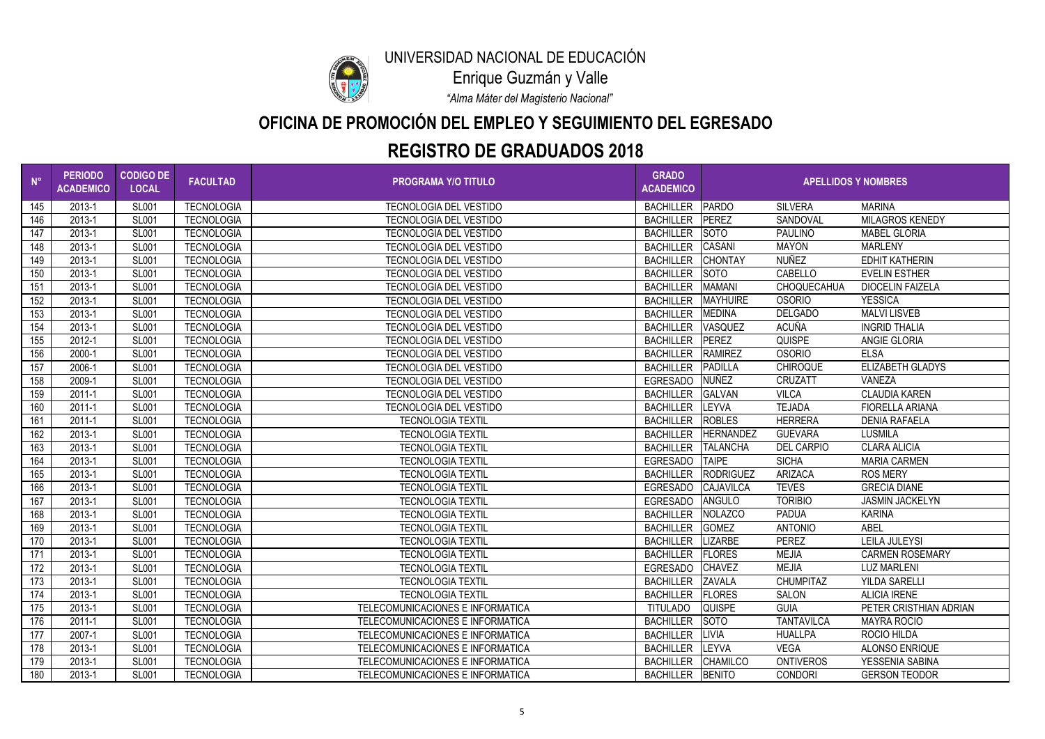

## **OFICINA DE PROMOCIÓN DEL EMPLEO Y SEGUIMIENTO DEL EGRESADO**

*"Alma Máter del Magisterio Nacional"*

Enrique Guzmán y Valle

| $N^{\circ}$ | <b>PERIODO</b><br><b>ACADEMICO</b> | <b>CODIGO DE</b><br><b>LOCAL</b> | <b>FACULTAD</b>   | <b>PROGRAMA Y/O TITULO</b>       | <b>GRADO</b><br><b>ACADEMICO</b> | <b>APELLIDOS Y NOMBRES</b> |                   |                         |
|-------------|------------------------------------|----------------------------------|-------------------|----------------------------------|----------------------------------|----------------------------|-------------------|-------------------------|
| 145         | 2013-1                             | <b>SL001</b>                     | <b>TECNOLOGIA</b> | <b>TECNOLOGIA DEL VESTIDO</b>    | <b>BACHILLER</b>                 | PARDO                      | <b>SILVERA</b>    | <b>MARINA</b>           |
| 146         | 2013-1                             | <b>SL001</b>                     | <b>TECNOLOGIA</b> | <b>TECNOLOGIA DEL VESTIDO</b>    | <b>BACHILLER</b>                 | PEREZ                      | SANDOVAL          | <b>MILAGROS KENEDY</b>  |
| 147         | 2013-1                             | <b>SL001</b>                     | <b>TECNOLOGIA</b> | <b>TECNOLOGIA DEL VESTIDO</b>    | BACHILLER SOTO                   |                            | <b>PAULINO</b>    | <b>MABEL GLORIA</b>     |
| 148         | 2013-1                             | <b>SL001</b>                     | <b>TECNOLOGIA</b> | <b>TECNOLOGIA DEL VESTIDO</b>    | BACHILLER CASANI                 |                            | <b>MAYON</b>      | <b>MARLENY</b>          |
| 149         | 2013-1                             | <b>SL001</b>                     | <b>TECNOLOGIA</b> | <b>TECNOLOGIA DEL VESTIDO</b>    | BACHILLER CHONTAY                |                            | <b>NUÑEZ</b>      | <b>EDHIT KATHERIN</b>   |
| 150         | 2013-1                             | <b>SL001</b>                     | <b>TECNOLOGIA</b> | <b>TECNOLOGIA DEL VESTIDO</b>    | <b>BACHILLER</b>                 | <b>SOTO</b>                | CABELLO           | <b>EVELIN ESTHER</b>    |
| 151         | 2013-1                             | <b>SL001</b>                     | <b>TECNOLOGIA</b> | <b>TECNOLOGIA DEL VESTIDO</b>    | <b>BACHILLER</b>                 | <b>MAMANI</b>              | CHOQUECAHUA       | <b>DIOCELIN FAIZELA</b> |
| 152         | 2013-1                             | <b>SL001</b>                     | <b>TECNOLOGIA</b> | TECNOLOGIA DEL VESTIDO           | BACHILLER   MAYHUIRE             |                            | <b>OSORIO</b>     | <b>YESSICA</b>          |
| 153         | 2013-1                             | <b>SL001</b>                     | <b>TECNOLOGIA</b> | <b>TECNOLOGIA DEL VESTIDO</b>    | <b>BACHILLER</b>                 | <b>MEDINA</b>              | <b>DELGADO</b>    | <b>MALVI LISVEB</b>     |
| 154         | 2013-1                             | <b>SL001</b>                     | <b>TECNOLOGIA</b> | <b>TECNOLOGIA DEL VESTIDO</b>    | <b>BACHILLER</b>                 | <b>VASQUEZ</b>             | <b>ACUÑA</b>      | <b>INGRID THALIA</b>    |
| 155         | 2012-1                             | <b>SL001</b>                     | <b>TECNOLOGIA</b> | <b>TECNOLOGIA DEL VESTIDO</b>    | <b>BACHILLER</b>                 | <b>PEREZ</b>               | <b>QUISPE</b>     | <b>ANGIE GLORIA</b>     |
| 156         | 2000-1                             | <b>SL001</b>                     | <b>TECNOLOGIA</b> | <b>TECNOLOGIA DEL VESTIDO</b>    | <b>BACHILLER</b>                 | RAMIREZ                    | <b>OSORIO</b>     | <b>ELSA</b>             |
| 157         | 2006-1                             | <b>SL001</b>                     | <b>TECNOLOGIA</b> | <b>TECNOLOGIA DEL VESTIDO</b>    | <b>BACHILLER</b>                 | PADILLA                    | <b>CHIROQUE</b>   | <b>ELIZABETH GLADYS</b> |
| 158         | 2009-1                             | <b>SL001</b>                     | <b>TECNOLOGIA</b> | <b>TECNOLOGIA DEL VESTIDO</b>    | EGRESADO NUÑEZ                   |                            | <b>CRUZATT</b>    | <b>VANEZA</b>           |
| 159         | 2011-1                             | <b>SL001</b>                     | <b>TECNOLOGIA</b> | <b>TECNOLOGIA DEL VESTIDO</b>    | <b>BACHILLER</b>                 | <b>GALVAN</b>              | <b>VILCA</b>      | <b>CLAUDIA KAREN</b>    |
| 160         | 2011-1                             | <b>SL001</b>                     | <b>TECNOLOGIA</b> | <b>TECNOLOGIA DEL VESTIDO</b>    | <b>BACHILLER</b>                 | <b>LEYVA</b>               | <b>TEJADA</b>     | <b>FIORELLA ARIANA</b>  |
| 161         | 2011-1                             | <b>SL001</b>                     | <b>TECNOLOGIA</b> | <b>TECNOLOGIA TEXTIL</b>         | <b>BACHILLER</b>                 | <b>ROBLES</b>              | <b>HERRERA</b>    | <b>DENIA RAFAELA</b>    |
| 162         | 2013-1                             | <b>SL001</b>                     | <b>TECNOLOGIA</b> | <b>TECNOLOGIA TEXTIL</b>         | <b>BACHILLER</b>                 | <b>HERNANDEZ</b>           | <b>GUEVARA</b>    | <b>LUSMILA</b>          |
| 163         | 2013-1                             | <b>SL001</b>                     | <b>TECNOLOGIA</b> | <b>TECNOLOGIA TEXTIL</b>         | <b>BACHILLER</b>                 | <b>TALANCHA</b>            | <b>DEL CARPIO</b> | <b>CLARA ALICIA</b>     |
| 164         | 2013-1                             | <b>SL001</b>                     | <b>TECNOLOGIA</b> | <b>TECNOLOGIA TEXTIL</b>         | EGRESADO TAIPE                   |                            | <b>SICHA</b>      | <b>MARIA CARMEN</b>     |
| 165         | 2013-1                             | <b>SL001</b>                     | <b>TECNOLOGIA</b> | <b>TECNOLOGIA TEXTIL</b>         |                                  | BACHILLER   RODRIGUEZ      | <b>ARIZACA</b>    | <b>ROS MERY</b>         |
| 166         | 2013-1                             | <b>SL001</b>                     | <b>TECNOLOGIA</b> | <b>TECNOLOGIA TEXTIL</b>         | EGRESADO                         | CAJAVILCA                  | <b>TEVES</b>      | <b>GRECIA DIANE</b>     |
| 167         | 2013-1                             | <b>SL001</b>                     | <b>TECNOLOGIA</b> | <b>TECNOLOGIA TEXTIL</b>         | EGRESADO ANGULO                  |                            | <b>TORIBIO</b>    | <b>JASMIN JACKELYN</b>  |
| 168         | 2013-1                             | <b>SL001</b>                     | <b>TECNOLOGIA</b> | <b>TECNOLOGIA TEXTIL</b>         | <b>BACHILLER</b>                 | <b>NOLAZCO</b>             | <b>PADUA</b>      | <b>KARINA</b>           |
| 169         | 2013-1                             | <b>SL001</b>                     | <b>TECNOLOGIA</b> | <b>TECNOLOGIA TEXTIL</b>         | BACHILLER GOMEZ                  |                            | <b>ANTONIO</b>    | <b>ABEL</b>             |
| 170         | 2013-1                             | <b>SL001</b>                     | <b>TECNOLOGIA</b> | <b>TECNOLOGIA TEXTIL</b>         | BACHILLER LIZARBE                |                            | <b>PEREZ</b>      | <b>LEILA JULEYSI</b>    |
| 171         | 2013-1                             | <b>SL001</b>                     | TECNOLOGIA        | <b>TECNOLOGIA TEXTIL</b>         | BACHILLER FLORES                 |                            | <b>MEJIA</b>      | <b>CARMEN ROSEMARY</b>  |
| 172         | 2013-1                             | <b>SL001</b>                     | <b>TECNOLOGIA</b> | <b>TECNOLOGIA TEXTIL</b>         | EGRESADO CHAVEZ                  |                            | <b>MEJIA</b>      | <b>LUZ MARLENI</b>      |
| 173         | 2013-1                             | <b>SL001</b>                     | <b>TECNOLOGIA</b> | <b>TECNOLOGIA TEXTIL</b>         | BACHILLER ZAVALA                 |                            | <b>CHUMPITAZ</b>  | <b>YILDA SARELL</b>     |
| 174         | 2013-1                             | <b>SL001</b>                     | <b>TECNOLOGIA</b> | <b>TECNOLOGIA TEXTIL</b>         | <b>BACHILLER</b>                 | <b>FLORES</b>              | SALON             | <b>ALICIA IRENE</b>     |
| 175         | 2013-1                             | <b>SL001</b>                     | <b>TECNOLOGIA</b> | TELECOMUNICACIONES E INFORMATICA | <b>TITULADO</b>                  | <b>QUISPE</b>              | <b>GUIA</b>       | PETER CRISTHIAN ADRIAN  |
| 176         | 2011-1                             | <b>SL001</b>                     | <b>TECNOLOGIA</b> | TELECOMUNICACIONES E INFORMATICA | BACHILLER SOTO                   |                            | <b>TANTAVILCA</b> | <b>MAYRA ROCIO</b>      |
| 177         | 2007-1                             | <b>SL001</b>                     | <b>TECNOLOGIA</b> | TELECOMUNICACIONES E INFORMATICA | BACHILLER LIVIA                  |                            | <b>HUALLPA</b>    | ROCIO HILDA             |
| 178         | 2013-1                             | <b>SL001</b>                     | <b>TECNOLOGIA</b> | TELECOMUNICACIONES E INFORMATICA | BACHILLER LEYVA                  |                            | <b>VEGA</b>       | <b>ALONSO ENRIQUE</b>   |
| 179         | 2013-1                             | <b>SL001</b>                     | <b>TECNOLOGIA</b> | TELECOMUNICACIONES E INFORMATICA | BACHILLER CHAMILCO               |                            | <b>ONTIVEROS</b>  | YESSENIA SABINA         |
| 180         | 2013-1                             | <b>SL001</b>                     | <b>TECNOLOGIA</b> | TELECOMUNICACIONES E INFORMATICA | BACHILLER BENITO                 |                            | <b>CONDORI</b>    | <b>GERSON TEODOR</b>    |